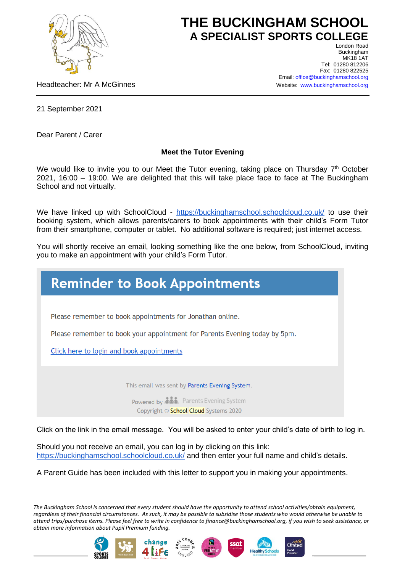

## **THE BUCKINGHAM SCHOOL A SPECIALIST SPORTS COLLEGE** London Road

Headteacher: Mr A McGinnes

Buckingham **MK18 1AT** Tel: 01280 812206 Fax: 01280 822525 Email[: office@buckinghamschool.org](mailto:office@buckinghamschool.org) Website: [www.buckinghamschool.org](http://www.buckinghamschool.org/)

21 September 2021

Dear Parent / Carer

## **Meet the Tutor Evening**

We would like to invite you to our Meet the Tutor evening, taking place on Thursday 7<sup>th</sup> October 2021, 16:00 – 19:00. We are delighted that this will take place face to face at The Buckingham School and not virtually.

We have linked up with SchoolCloud - <https://buckinghamschool.schoolcloud.co.uk/> to use their booking system, which allows parents/carers to book appointments with their child's Form Tutor from their smartphone, computer or tablet. No additional software is required; just internet access.

You will shortly receive an email, looking something like the one below, from SchoolCloud, inviting you to make an appointment with your child's Form Tutor.



Copyright © School Cloud Systems 2020

Click on the link in the email message. You will be asked to enter your child's date of birth to log in.

Should you not receive an email, you can log in by clicking on this link: <https://buckinghamschool.schoolcloud.co.uk/> and then enter your full name and child's details.

A Parent Guide has been included with this letter to support you in making your appointments.

*The Buckingham School is concerned that every student should have the opportunity to attend school activities/obtain equipment, regardless of their financial circumstances. As such, it may be possible to subsidise those students who would otherwise be unable to attend trips/purchase items. Please feel free to write in confidence to finance@buckinghamschool.org, if you wish to seek assistance, or obtain more information about Pupil Premium funding.*